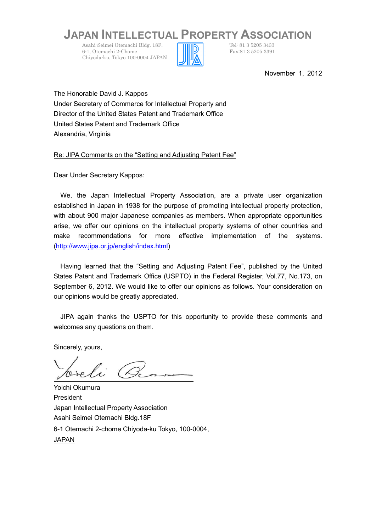## **JAPAN INTELLECTUAL PROPERTY ASSOCIATION**

Asahi-Seimei Otemachi Bldg. 18F.<br>
6-1. Otemachi 2-Chome<br>
Fax:81 3 5205 3391 6-1, Otemachi 2-Chome Chiyoda-ku, Tokyo 100-0004 JAPAN



November 1, 2012

The Honorable David J. Kappos Under Secretary of Commerce for Intellectual Property and Director of the United States Patent and Trademark Office United States Patent and Trademark Office Alexandria, Virginia

Re: JIPA Comments on the "Setting and Adjusting Patent Fee"

Dear Under Secretary Kappos:

We, the Japan Intellectual Property Association, are a private user organization established in Japan in 1938 for the purpose of promoting intellectual property protection, with about 900 major Japanese companies as members. When appropriate opportunities arise, we offer our opinions on the intellectual property systems of other countries and make recommendations for more effective implementation of the systems. ([http://www.jipa.or.jp/english/index.html\)](http://www.jipa.or.jp/english/index.html)

Having learned that the "Setting and Adjusting Patent Fee", published by the United States Patent and Trademark Office (USPTO) in the Federal Register, Vol.77, No.173, on September 6, 2012. We would like to offer our opinions as follows. Your consideration on our opinions would be greatly appreciated.

JIPA again thanks the USPTO for this opportunity to provide these comments and welcomes any questions on them.

Sincerely, yours,

Yoichi Okumura President Japan Intellectual Property Association Asahi Seimei Otemachi Bldg.18F 6-1 Otemachi 2-chome Chiyoda-ku Tokyo, 100-0004, JAPAN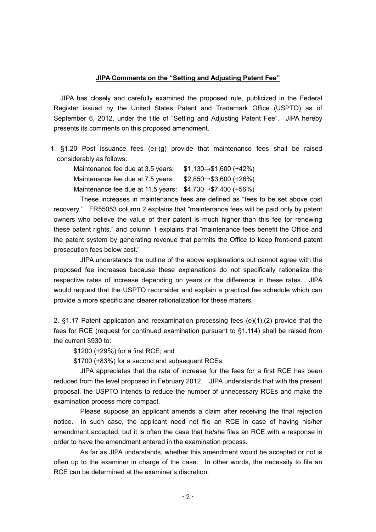## **JIPA Comments on the "Setting and Adjusting Patent Fee"**

JIPA has closely and carefully examined the proposed rule, publicized in the Federal Register issued by the United States Patent and Trademark Office (USPTO) as of September 6, 2012, under the title of "Setting and Adjusting Patent Fee". JIPA hereby presents its comments on this proposed amendment.

1. §1.20 Post issuance fees (e)-(g) provide that maintenance fees shall be raised considerably as follows:

Maintenance fee due at 3.5 years: \$1,130→\$1,600 (+42%)

Maintenance fee due at 7.5 years:  $$2,850 \rightarrow $3,600 (+26%)$ 

Maintenance fee due at 11.5 years: \$4,730→\$7,400 (+56%)

These increases in maintenance fees are defined as "fees to be set above cost recovery." FR55053 column 2 explains that "maintenance fees will be paid only by patent owners who believe the value of their patent is much higher than this fee for renewing these patent rights," and column 1 explains that "maintenance fees benefit the Office and the patent system by generating revenue that permits the Office to keep front-end patent prosecution fees below cost."

JIPA understands the outline of the above explanations but cannot agree with the proposed fee increases because these explanations do not specifically rationalize the respective rates of increase depending on years or the difference in these rates. JIPA would request that the USPTO reconsider and explain a practical fee schedule which can provide a more specific and clearer rationalization for these matters.

2. §1.17 Patent application and reexamination processing fees (e)(1),(2) provide that the fees for RCE (request for continued examination pursuant to §1.114) shall be raised from the current \$930 to:

\$1200 (+29%) for a first RCE; and

\$1700 (+83%) for a second and subsequent RCEs.

JIPA appreciates that the rate of increase for the fees for a first RCE has been reduced from the level proposed in February 2012. JIPA understands that with the present proposal, the USPTO intends to reduce the number of unnecessary RCEs and make the examination process more compact.

Please suppose an applicant amends a claim after receiving the final rejection notice. In such case, the applicant need not file an RCE in case of having his/her amendment accepted, but it is often the case that he/she files an RCE with a response in order to have the amendment entered in the examination process.

As far as JIPA understands, whether this amendment would be accepted or not is often up to the examiner in charge of the case. In other words, the necessity to file an RCE can be determined at the examiner's discretion.